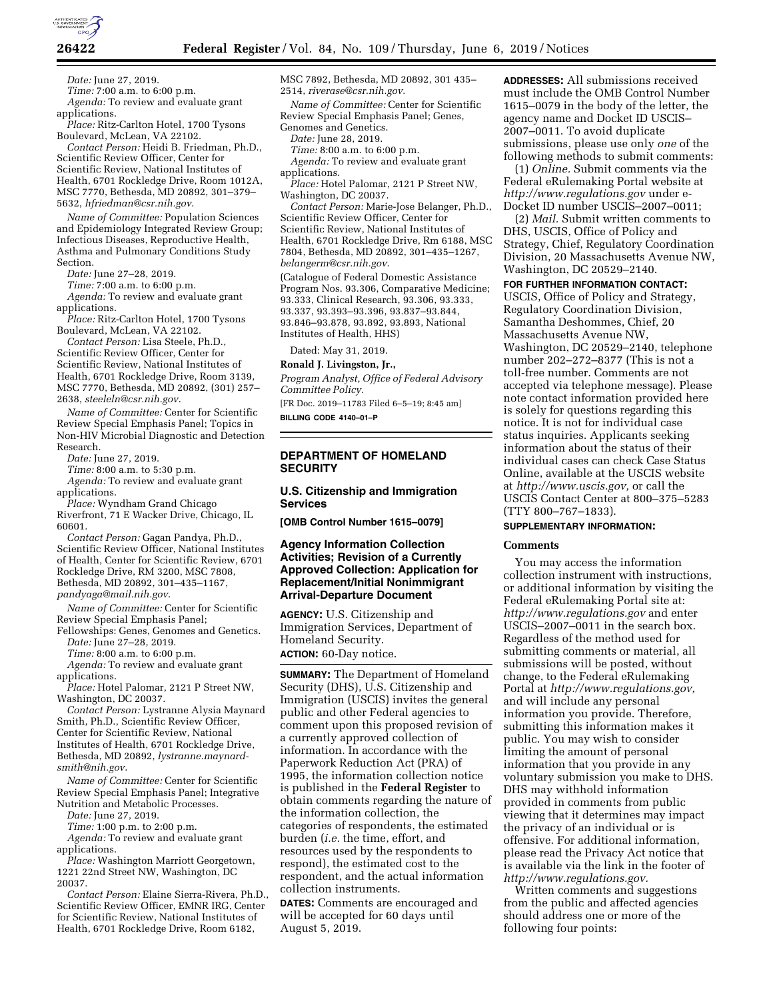

**26422 Federal Register** / Vol. 84, No. 109 / Thursday, June 6, 2019 / Notices

*Date:* June 27, 2019.

*Time:* 7:00 a.m. to 6:00 p.m. *Agenda:* To review and evaluate grant applications.

*Place:* Ritz-Carlton Hotel, 1700 Tysons Boulevard, McLean, VA 22102.

*Contact Person:* Heidi B. Friedman, Ph.D., Scientific Review Officer, Center for Scientific Review, National Institutes of Health, 6701 Rockledge Drive, Room 1012A, MSC 7770, Bethesda, MD 20892, 301–379– 5632, *[hfriedman@csr.nih.gov](mailto:hfriedman@csr.nih.gov)*.

*Name of Committee:* Population Sciences and Epidemiology Integrated Review Group; Infectious Diseases, Reproductive Health, Asthma and Pulmonary Conditions Study Section.

*Date:* June 27–28, 2019.

*Time:* 7:00 a.m. to 6:00 p.m. *Agenda:* To review and evaluate grant

applications. *Place:* Ritz-Carlton Hotel, 1700 Tysons Boulevard, McLean, VA 22102.

*Contact Person:* Lisa Steele, Ph.D., Scientific Review Officer, Center for Scientific Review, National Institutes of Health, 6701 Rockledge Drive, Room 3139, MSC 7770, Bethesda, MD 20892, (301) 257– 2638, *[steeleln@csr.nih.gov](mailto:steeleln@csr.nih.gov)*.

*Name of Committee:* Center for Scientific Review Special Emphasis Panel; Topics in Non-HIV Microbial Diagnostic and Detection Research.

*Date:* June 27, 2019.

*Time:* 8:00 a.m. to 5:30 p.m.

*Agenda:* To review and evaluate grant applications.

*Place:* Wyndham Grand Chicago Riverfront, 71 E Wacker Drive, Chicago, IL 60601.

*Contact Person:* Gagan Pandya, Ph.D., Scientific Review Officer, National Institutes of Health, Center for Scientific Review, 6701 Rockledge Drive, RM 3200, MSC 7808, Bethesda, MD 20892, 301–435–1167, *[pandyaga@mail.nih.gov](mailto:pandyaga@mail.nih.gov)*.

*Name of Committee:* Center for Scientific Review Special Emphasis Panel;

Fellowships: Genes, Genomes and Genetics. *Date:* June 27–28, 2019.

*Time:* 8:00 a.m. to 6:00 p.m.

*Agenda:* To review and evaluate grant applications.

*Place:* Hotel Palomar, 2121 P Street NW, Washington, DC 20037.

*Contact Person:* Lystranne Alysia Maynard Smith, Ph.D., Scientific Review Officer, Center for Scientific Review, National Institutes of Health, 6701 Rockledge Drive, Bethesda, MD 20892, *[lystranne.maynard](mailto:lystranne.maynard-smith@nih.gov)[smith@nih.gov](mailto:lystranne.maynard-smith@nih.gov)*.

*Name of Committee:* Center for Scientific Review Special Emphasis Panel; Integrative Nutrition and Metabolic Processes.

*Date:* June 27, 2019.

*Time:* 1:00 p.m. to 2:00 p.m.

*Agenda:* To review and evaluate grant applications.

*Place:* Washington Marriott Georgetown, 1221 22nd Street NW, Washington, DC 20037.

*Contact Person:* Elaine Sierra-Rivera, Ph.D., Scientific Review Officer, EMNR IRG, Center for Scientific Review, National Institutes of Health, 6701 Rockledge Drive, Room 6182,

MSC 7892, Bethesda, MD 20892, 301 435– 2514, *[riverase@csr.nih.gov](mailto:riverase@csr.nih.gov)*.

*Name of Committee:* Center for Scientific Review Special Emphasis Panel; Genes, Genomes and Genetics.

*Date:* June 28, 2019.

*Time:* 8:00 a.m. to 6:00 p.m. *Agenda:* To review and evaluate grant applications.

*Place:* Hotel Palomar, 2121 P Street NW, Washington, DC 20037.

*Contact Person:* Marie-Jose Belanger, Ph.D., Scientific Review Officer, Center for Scientific Review, National Institutes of Health, 6701 Rockledge Drive, Rm 6188, MSC 7804, Bethesda, MD 20892, 301–435–1267, *[belangerm@csr.nih.gov](mailto:belangerm@csr.nih.gov)*.

(Catalogue of Federal Domestic Assistance Program Nos. 93.306, Comparative Medicine; 93.333, Clinical Research, 93.306, 93.333, 93.337, 93.393–93.396, 93.837–93.844, 93.846–93.878, 93.892, 93.893, National Institutes of Health, HHS)

Dated: May 31, 2019.

**Ronald J. Livingston, Jr.,** 

*Program Analyst, Office of Federal Advisory Committee Policy.* 

[FR Doc. 2019–11783 Filed 6–5–19; 8:45 am] **BILLING CODE 4140–01–P** 

# **DEPARTMENT OF HOMELAND SECURITY**

# **U.S. Citizenship and Immigration Services**

**[OMB Control Number 1615–0079]** 

# **Agency Information Collection Activities; Revision of a Currently Approved Collection: Application for Replacement/Initial Nonimmigrant Arrival-Departure Document**

**AGENCY:** U.S. Citizenship and Immigration Services, Department of Homeland Security.

**ACTION:** 60-Day notice.

**SUMMARY:** The Department of Homeland Security (DHS), U.S. Citizenship and Immigration (USCIS) invites the general public and other Federal agencies to comment upon this proposed revision of a currently approved collection of information. In accordance with the Paperwork Reduction Act (PRA) of 1995, the information collection notice is published in the **Federal Register** to obtain comments regarding the nature of the information collection, the categories of respondents, the estimated burden (*i.e.* the time, effort, and resources used by the respondents to respond), the estimated cost to the respondent, and the actual information collection instruments.

**DATES:** Comments are encouraged and will be accepted for 60 days until August 5, 2019.

**ADDRESSES:** All submissions received must include the OMB Control Number 1615–0079 in the body of the letter, the agency name and Docket ID USCIS– 2007–0011. To avoid duplicate submissions, please use only *one* of the following methods to submit comments:

(1) *Online.* Submit comments via the Federal eRulemaking Portal website at *<http://www.regulations.gov>* under e-Docket ID number USCIS–2007–0011;

(2) *Mail.* Submit written comments to DHS, USCIS, Office of Policy and Strategy, Chief, Regulatory Coordination Division, 20 Massachusetts Avenue NW, Washington, DC 20529–2140.

**FOR FURTHER INFORMATION CONTACT:** 

USCIS, Office of Policy and Strategy, Regulatory Coordination Division, Samantha Deshommes, Chief, 20 Massachusetts Avenue NW, Washington, DC 20529–2140, telephone number 202–272–8377 (This is not a toll-free number. Comments are not accepted via telephone message). Please note contact information provided here is solely for questions regarding this notice. It is not for individual case status inquiries. Applicants seeking information about the status of their individual cases can check Case Status Online, available at the USCIS website at *[http://www.uscis.gov,](http://www.uscis.gov)* or call the USCIS Contact Center at 800–375–5283 (TTY 800–767–1833).

# **SUPPLEMENTARY INFORMATION:**

#### **Comments**

You may access the information collection instrument with instructions, or additional information by visiting the Federal eRulemaking Portal site at: *<http://www.regulations.gov>* and enter USCIS–2007–0011 in the search box. Regardless of the method used for submitting comments or material, all submissions will be posted, without change, to the Federal eRulemaking Portal at *[http://www.regulations.gov,](http://www.regulations.gov)*  and will include any personal information you provide. Therefore, submitting this information makes it public. You may wish to consider limiting the amount of personal information that you provide in any voluntary submission you make to DHS. DHS may withhold information provided in comments from public viewing that it determines may impact the privacy of an individual or is offensive. For additional information, please read the Privacy Act notice that is available via the link in the footer of *[http://www.regulations.gov.](http://www.regulations.gov)* 

Written comments and suggestions from the public and affected agencies should address one or more of the following four points: